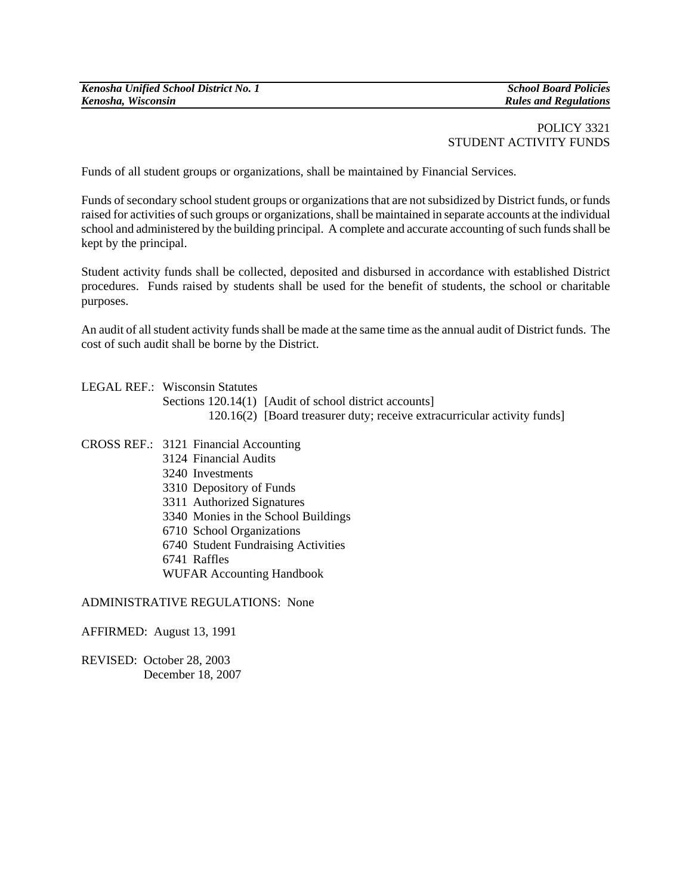## POLICY 3321 STUDENT ACTIVITY FUNDS

Funds of all student groups or organizations, shall be maintained by Financial Services.

Funds of secondary school student groups or organizations that are not subsidized by District funds, or funds raised for activities of such groups or organizations, shall be maintained in separate accounts at the individual school and administered by the building principal. A complete and accurate accounting of such funds shall be kept by the principal.

Student activity funds shall be collected, deposited and disbursed in accordance with established District procedures. Funds raised by students shall be used for the benefit of students, the school or charitable purposes.

An audit of all student activity funds shall be made at the same time as the annual audit of District funds. The cost of such audit shall be borne by the District.

- LEGAL REF.: Wisconsin Statutes Sections 120.14(1) [Audit of school district accounts] 120.16(2) [Board treasurer duty; receive extracurricular activity funds]
- CROSS REF.: 3121 Financial Accounting 3124 Financial Audits 3240 Investments 3310 Depository of Funds 3311 Authorized Signatures 3340 Monies in the School Buildings 6710 School Organizations 6740 Student Fundraising Activities 6741 Raffles WUFAR Accounting Handbook

## ADMINISTRATIVE REGULATIONS: None

## AFFIRMED: August 13, 1991

REVISED: October 28, 2003 December 18, 2007